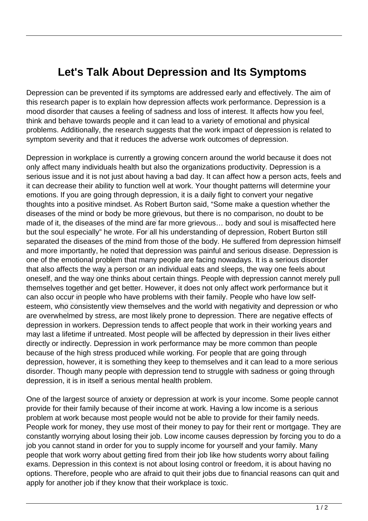## **Let's Talk About Depression and Its Symptoms**

Depression can be prevented if its symptoms are addressed early and effectively. The aim of this research paper is to explain how depression affects work performance. Depression is a mood disorder that causes a feeling of sadness and loss of interest. It affects how you feel, think and behave towards people and it can lead to a variety of emotional and physical problems. Additionally, the research suggests that the work impact of depression is related to symptom severity and that it reduces the adverse work outcomes of depression.

Depression in workplace is currently a growing concern around the world because it does not only affect many individuals health but also the organizations productivity. Depression is a serious issue and it is not just about having a bad day. It can affect how a person acts, feels and it can decrease their ability to function well at work. Your thought patterns will determine your emotions. If you are going through depression, it is a daily fight to convert your negative thoughts into a positive mindset. As Robert Burton said, "Some make a question whether the diseases of the mind or body be more grievous, but there is no comparison, no doubt to be made of it, the diseases of the mind are far more grievous… body and soul is misaffected here but the soul especially" he wrote. For all his understanding of depression, Robert Burton still separated the diseases of the mind from those of the body. He suffered from depression himself and more importantly, he noted that depression was painful and serious disease. Depression is one of the emotional problem that many people are facing nowadays. It is a serious disorder that also affects the way a person or an individual eats and sleeps, the way one feels about oneself, and the way one thinks about certain things. People with depression cannot merely pull themselves together and get better. However, it does not only affect work performance but it can also occur in people who have problems with their family. People who have low selfesteem, who consistently view themselves and the world with negativity and depression or who are overwhelmed by stress, are most likely prone to depression. There are negative effects of depression in workers. Depression tends to affect people that work in their working years and may last a lifetime if untreated. Most people will be affected by depression in their lives either directly or indirectly. Depression in work performance may be more common than people because of the high stress produced while working. For people that are going through depression, however, it is something they keep to themselves and it can lead to a more serious disorder. Though many people with depression tend to struggle with sadness or going through depression, it is in itself a serious mental health problem. If the mind or body be more griever<br>the diseases of the mind are far r<br>all especially" he wrote. For all his<br>the diseases of the mind from tho<br>importantly, he noted that depress<br>emotional problem that many peo<br>ffects the w

One of the largest source of anxiety or depression at work is your income. Some people cannot provide for their family because of their income at work. Having a low income is a serious problem at work because most people would not be able to provide for their family needs. People work for money, they use most of their money to pay for their rent or mortgage. They are constantly worrying about losing their job. Low income causes depression by forcing you to do a job you cannot stand in order for you to supply income for yourself and your family. Many people that work worry about getting fired from their job like how students worry about failing exams. Depression in this context is not about losing control or freedom, it is about having no options. Therefore, people who are afraid to quit their jobs due to financial reasons can quit and apply for another job if they know that their workplace is toxic.